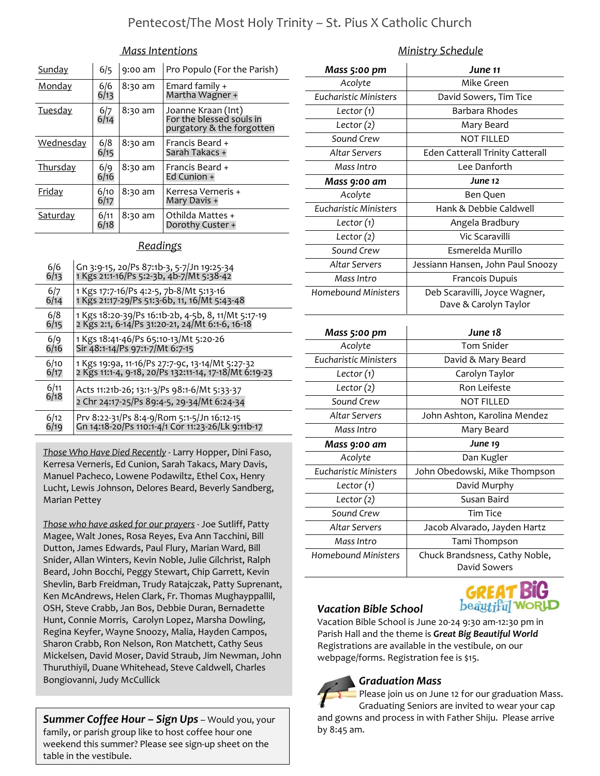#### Mass Intentions

| Sunday          | 6/5          | 9:00 am | Pro Populo (For the Parish)                                                 |
|-----------------|--------------|---------|-----------------------------------------------------------------------------|
| Monday          | 6/6<br>6/13  | 8:30 am | Emard family +<br>Martha Wagner +                                           |
| <b>Tuesday</b>  | 6/7<br>6/14  | 8:30 am | Joanne Kraan (Int)<br>For the blessed souls in<br>purgatory & the forgotten |
| Wednesday       | 6/8<br>6/15  | 8:30 am | Francis Beard +<br>Sarah Takacs +                                           |
| <b>Thursday</b> | 6/9<br>6/16  | 8:30 am | Francis Beard +<br>Ed Cunion +                                              |
| <u>Friday</u>   | 6/10<br>6/17 | 8:30 am | Kerresa Verneris +<br>Mary Davis +                                          |
| <u>Saturday</u> | 6/11<br>6/18 | 8:30 am | Othilda Mattes +<br>Dorothy Custer +                                        |

#### **Readings**

| 6/6<br>6/13 | Gn 3:9-15, 20/Ps 87:1b-3, 5-7/Jn 19:25-34<br>1 Kgs 21:1-16/Ps 5:2-3b, 4b-7/Mt 5:38-42 |
|-------------|---------------------------------------------------------------------------------------|
| 6/7         | 1 Kgs 17:7-16/Ps 4:2-5, 7b-8/Mt 5:13-16                                               |
| 6/14        | 1 Kgs 21:17-29/Ps 51:3-6b, 11, 16/Mt 5:43-48                                          |
| 6/8         | 1 Kgs 18:20-39/Ps 16:1b-2b, 4-5b, 8, 11/Mt 5:17-19                                    |
| 6/15        | 2 Kgs 2:1, 6-14/Ps 31:20-21, 24/Mt 6:1-6, 16-18                                       |
| 6/9         | 1 Kgs 18:41-46/Ps 65:10-13/Mt 5:20-26                                                 |
| 6/16        | Sir 48:1-14/Ps 97:1-7/Mt 6:7-15                                                       |
| 6/10        | 1 Kgs 19:9a, 11-16/Ps 27:7-9c, 13-14/Mt 5:27-32                                       |
| 6/17        | 2 Kgs 11:1-4, 9-18, 20/Ps 132:11-14, 17-18/Mt 6:19-23                                 |
| 6/11        | Acts 11:21b-26; 13:1-3/Ps 98:1-6/Mt 5:33-37                                           |
| 6/18        | 2 Chr 24:17-25/Ps 89:4-5, 29-34/Mt 6:24-34                                            |
| 6/12        | Prv 8:22-31/Ps 8:4-9/Rom 5:1-5/Jn 16:12-15                                            |
| 6/19        | Gn 14:18-20/Ps 110:1-4/1 Cor 11:23-26/Lk 9:11b-17                                     |

Those Who Have Died Recently - Larry Hopper, Dini Faso, Kerresa Verneris, Ed Cunion, Sarah Takacs, Mary Davis, Manuel Pacheco, Lowene Podawiltz, Ethel Cox, Henry Lucht, Lewis Johnson, Delores Beard, Beverly Sandberg, Marian Pettey

Those who have asked for our prayers - Joe Sutliff, Patty Magee, Walt Jones, Rosa Reyes, Eva Ann Tacchini, Bill Dutton, James Edwards, Paul Flury, Marian Ward, Bill Snider, Allan Winters, Kevin Noble, Julie Gilchrist, Ralph Beard, John Bocchi, Peggy Stewart, Chip Garrett, Kevin Shevlin, Barb Freidman, Trudy Ratajczak, Patty Suprenant, Ken McAndrews, Helen Clark, Fr. Thomas Mughayppallil, OSH, Steve Crabb, Jan Bos, Debbie Duran, Bernadette Hunt, Connie Morris, Carolyn Lopez, Marsha Dowling, Regina Keyfer, Wayne Snoozy, Malia, Hayden Campos, Sharon Crabb, Ron Nelson, Ron Matchett, Cathy Seus Mickelsen, David Moser, David Straub, Jim Newman, John Thuruthiyil, Duane Whitehead, Steve Caldwell, Charles Bongiovanni, Judy McCullick

**Summer Coffee Hour – Sign Ups** – Would you, your family, or parish group like to host coffee hour one weekend this summer? Please see sign-up sheet on the table in the vestibule.

### Ministry Schedule

| Mass 5:00 pm                 | June 11                                 |
|------------------------------|-----------------------------------------|
| Acolyte                      | Mike Green                              |
| Eucharistic Ministers        | David Sowers, Tim Tice                  |
| Lector $(1)$                 | Barbara Rhodes                          |
| Lector $(2)$                 | Mary Beard                              |
| Sound Crew                   | <b>NOT FILLED</b>                       |
| <b>Altar Servers</b>         | <b>Eden Catterall Trinity Catterall</b> |
| Mass Intro                   | Lee Danforth                            |
| Mass 9:00 am                 | June 12                                 |
| Acolyte                      | Ben Quen                                |
| <b>Eucharistic Ministers</b> | Hank & Debbie Caldwell                  |
| Lector $(1)$                 | Angela Bradbury                         |
| Lector $(2)$                 | Vic Scaravilli                          |
| Sound Crew                   | Esmerelda Murillo                       |
| Altar Servers                | Jessiann Hansen, John Paul Snoozy       |
| Mass Intro                   | Francois Dupuis                         |
| <b>Homebound Ministers</b>   | Deb Scaravilli, Joyce Wagner,           |
|                              | Dave & Carolyn Taylor                   |
|                              |                                         |
| Mass 5:00 pm                 | June 18                                 |
| Acolyte                      | <b>Tom Snider</b>                       |
| <b>Eucharistic Ministers</b> | David & Mary Beard                      |
| Lector $(1)$                 | Carolyn Taylor                          |
| Lector $(2)$                 | Ron Leifeste                            |
| Sound Crew                   | <b>NOT FILLED</b>                       |
| Altar Servers                | John Ashton, Karolina Mendez            |
| Mass Intro                   | Mary Beard                              |
| Mass 9:00 am                 | June 19                                 |
| Acolyte                      | Dan Kugler                              |
| <b>Eucharistic Ministers</b> | John Obedowski, Mike Thompson           |
| Lector $(1)$                 | David Murphy                            |
| Lector $(2)$                 | Susan Baird                             |
| Sound Crew                   | <b>Tim Tice</b>                         |
| <b>Altar Servers</b>         | Jacob Alvarado, Jayden Hartz            |
| Mass Intro                   | Tami Thompson                           |
| Homebound Ministers          | Chuck Brandsness, Cathy Noble,          |



### Vacation Bible School



Vacation Bible School is June 20-24 9:30 am-12:30 pm in Parish Hall and the theme is Great Big Beautiful World Registrations are available in the vestibule, on our webpage/forms. Registration fee is \$15.

# Graduation Mass

Please join us on June 12 for our graduation Mass. Graduating Seniors are invited to wear your cap and gowns and process in with Father Shiju. Please arrive by 8:45 am.